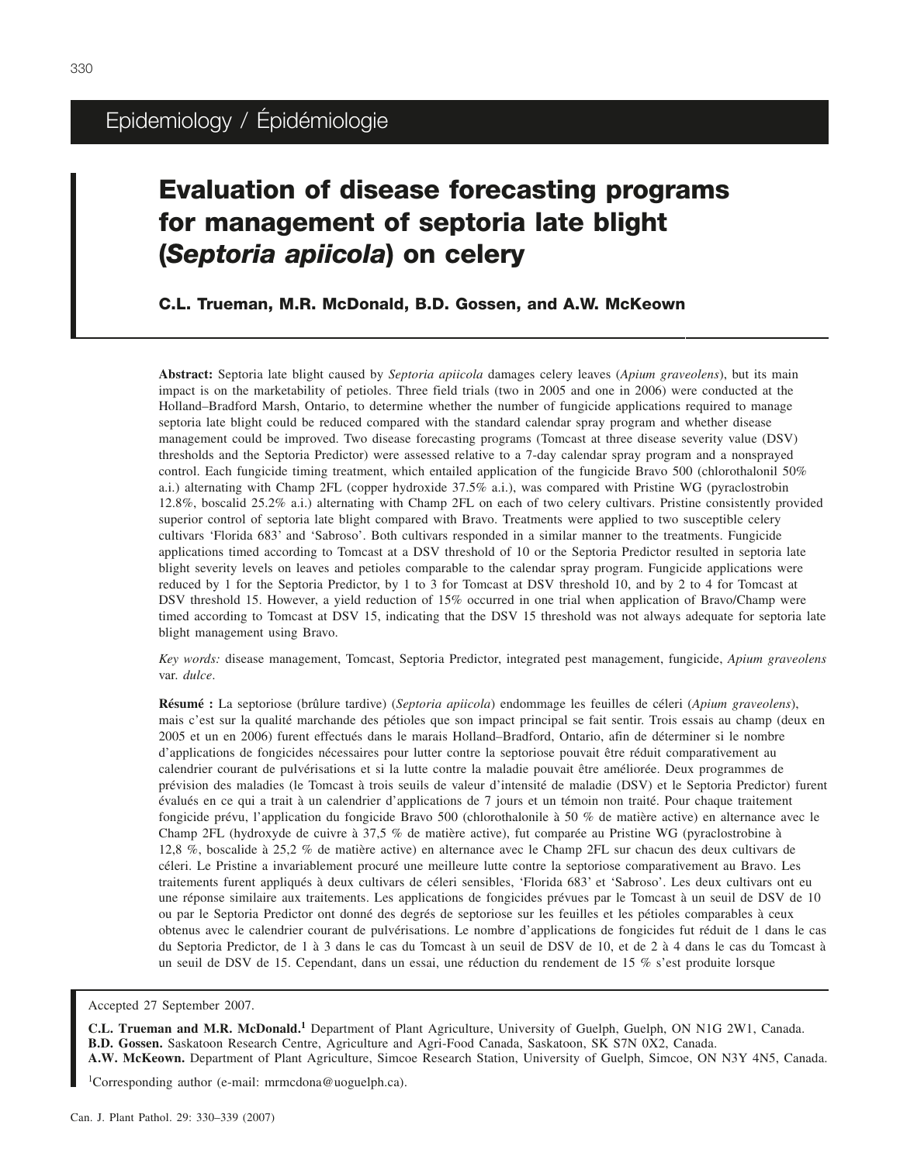## Epidemiology / Épidémiologie

# **Evaluation of disease forecasting programs for management of septoria late blight (***Septoria apiicola***) on celery**

**C.L. Trueman, M.R. McDonald, B.D. Gossen, and A.W. McKeown**

**Abstract:** Septoria late blight caused by *Septoria apiicola* damages celery leaves (*Apium graveolens*), but its main impact is on the marketability of petioles. Three field trials (two in 2005 and one in 2006) were conducted at the Holland–Bradford Marsh, Ontario, to determine whether the number of fungicide applications required to manage septoria late blight could be reduced compared with the standard calendar spray program and whether disease management could be improved. Two disease forecasting programs (Tomcast at three disease severity value (DSV) thresholds and the Septoria Predictor) were assessed relative to a 7-day calendar spray program and a nonsprayed control. Each fungicide timing treatment, which entailed application of the fungicide Bravo 500 (chlorothalonil 50% a.i.) alternating with Champ 2FL (copper hydroxide 37.5% a.i.), was compared with Pristine WG (pyraclostrobin 12.8%, boscalid 25.2% a.i.) alternating with Champ 2FL on each of two celery cultivars. Pristine consistently provided superior control of septoria late blight compared with Bravo. Treatments were applied to two susceptible celery cultivars 'Florida 683' and 'Sabroso'. Both cultivars responded in a similar manner to the treatments. Fungicide applications timed according to Tomcast at a DSV threshold of 10 or the Septoria Predictor resulted in septoria late blight severity levels on leaves and petioles comparable to the calendar spray program. Fungicide applications were reduced by 1 for the Septoria Predictor, by 1 to 3 for Tomcast at DSV threshold 10, and by 2 to 4 for Tomcast at DSV threshold 15. However, a yield reduction of 15% occurred in one trial when application of Bravo/Champ were timed according to Tomcast at DSV 15, indicating that the DSV 15 threshold was not always adequate for septoria late blight management using Bravo.

*Key words:* disease management, Tomcast, Septoria Predictor, integrated pest management, fungicide, *Apium graveolens* var. *dulce*.

Résumé : La septoriose (brûlure tardive) (Septoria apiicola) endommage les feuilles de céleri (Apium graveolens), mais c'est sur la qualité marchande des pétioles que son impact principal se fait sentir. Trois essais au champ (deux en 2005 et un en 2006) furent effectués dans le marais Holland–Bradford, Ontario, afin de déterminer si le nombre d'applications de fongicides nécessaires pour lutter contre la septoriose pouvait être réduit comparativement au calendrier courant de pulvérisations et si la lutte contre la maladie pouvait être améliorée. Deux programmes de prévision des maladies (le Tomcast à trois seuils de valeur d'intensité de maladie (DSV) et le Septoria Predictor) furent évalués en ce qui a trait à un calendrier d'applications de 7 jours et un témoin non traité. Pour chaque traitement fongicide prévu, l'application du fongicide Bravo 500 (chlorothalonile à 50 % de matière active) en alternance avec le Champ 2FL (hydroxyde de cuivre à 37,5 % de matière active), fut comparée au Pristine WG (pyraclostrobine à 12,8 %, boscalide à 25,2 % de matière active) en alternance avec le Champ 2FL sur chacun des deux cultivars de céleri. Le Pristine a invariablement procuré une meilleure lutte contre la septoriose comparativement au Bravo. Les traitements furent appliqués à deux cultivars de céleri sensibles, 'Florida 683' et 'Sabroso'. Les deux cultivars ont eu une réponse similaire aux traitements. Les applications de fongicides prévues par le Tomcast à un seuil de DSV de 10 ou par le Septoria Predictor ont donné des degrés de septoriose sur les feuilles et les pétioles comparables à ceux obtenus avec le calendrier courant de pulvérisations. Le nombre d'applications de fongicides fut réduit de 1 dans le cas du Septoria Predictor, de1à3 dans le cas du Tomcast à un seuil de DSV de 10, et de2à4 dans le cas du Tomcast à un seuil de DSV de 15. Cependant, dans un essai, une réduction du rendement de 15 % s'est produite lorsque

Accepted 27 September 2007.

**C.L. Trueman and M.R. McDonald.<sup>1</sup>** Department of Plant Agriculture, University of Guelph, Guelph, ON N1G 2W1, Canada. **B.D. Gossen.** Saskatoon Research Centre, Agriculture and Agri-Food Canada, Saskatoon, SK S7N 0X2, Canada. **A.W. McKeown.** Department of Plant Agriculture, Simcoe Research Station, University of Guelph, Simcoe, ON N3Y 4N5, Canada.

1 Corresponding author (e-mail: mrmcdona@uoguelph.ca).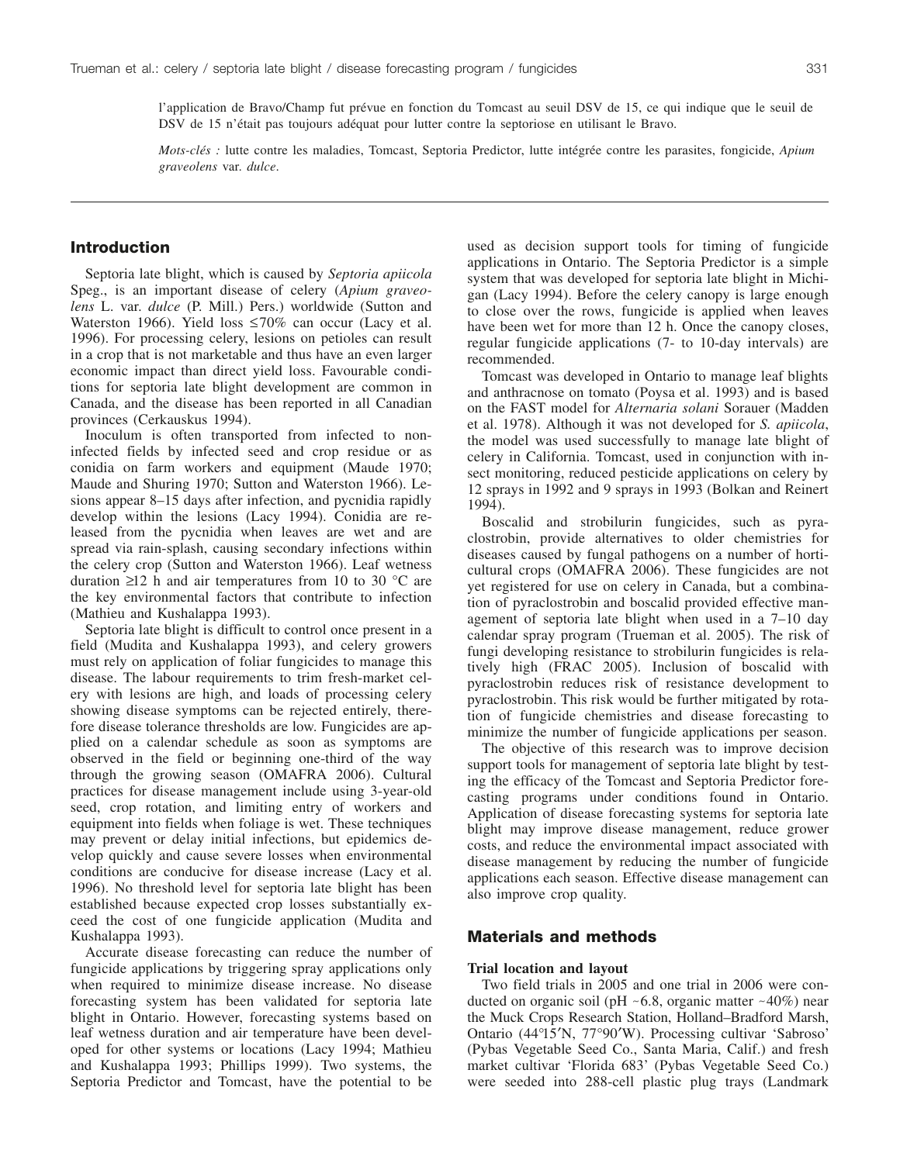l'application de Bravo/Champ fut prévue en fonction du Tomcast au seuil DSV de 15, ce qui indique que le seuil de DSV de 15 n'était pas toujours adéquat pour lutter contre la septoriose en utilisant le Bravo.

*Mots-clés :* lutte contre les maladies, Tomcast, Septoria Predictor, lutte intégrée contre les parasites, fongicide, *Apium graveolens* var. *dulce*.

### **Introduction**

Septoria late blight, which is caused by *Septoria apiicola* Speg., is an important disease of celery (*Apium graveolens* L. var. *dulce* (P. Mill.) Pers.) worldwide (Sutton and Waterston 1966). Yield loss  $\leq 70\%$  can occur (Lacy et al. 1996). For processing celery, lesions on petioles can result in a crop that is not marketable and thus have an even larger economic impact than direct yield loss. Favourable conditions for septoria late blight development are common in Canada, and the disease has been reported in all Canadian provinces (Cerkauskus 1994).

Inoculum is often transported from infected to noninfected fields by infected seed and crop residue or as conidia on farm workers and equipment (Maude 1970; Maude and Shuring 1970; Sutton and Waterston 1966). Lesions appear 8–15 days after infection, and pycnidia rapidly develop within the lesions (Lacy 1994). Conidia are released from the pycnidia when leaves are wet and are spread via rain-splash, causing secondary infections within the celery crop (Sutton and Waterston 1966). Leaf wetness duration  $\geq 12$  h and air temperatures from 10 to 30 °C are the key environmental factors that contribute to infection (Mathieu and Kushalappa 1993).

Septoria late blight is difficult to control once present in a field (Mudita and Kushalappa 1993), and celery growers must rely on application of foliar fungicides to manage this disease. The labour requirements to trim fresh-market celery with lesions are high, and loads of processing celery showing disease symptoms can be rejected entirely, therefore disease tolerance thresholds are low. Fungicides are applied on a calendar schedule as soon as symptoms are observed in the field or beginning one-third of the way through the growing season (OMAFRA 2006). Cultural practices for disease management include using 3-year-old seed, crop rotation, and limiting entry of workers and equipment into fields when foliage is wet. These techniques may prevent or delay initial infections, but epidemics develop quickly and cause severe losses when environmental conditions are conducive for disease increase (Lacy et al. 1996). No threshold level for septoria late blight has been established because expected crop losses substantially exceed the cost of one fungicide application (Mudita and Kushalappa 1993).

Accurate disease forecasting can reduce the number of fungicide applications by triggering spray applications only when required to minimize disease increase. No disease forecasting system has been validated for septoria late blight in Ontario. However, forecasting systems based on leaf wetness duration and air temperature have been developed for other systems or locations (Lacy 1994; Mathieu and Kushalappa 1993; Phillips 1999). Two systems, the Septoria Predictor and Tomcast, have the potential to be

used as decision support tools for timing of fungicide applications in Ontario. The Septoria Predictor is a simple system that was developed for septoria late blight in Michigan (Lacy 1994). Before the celery canopy is large enough to close over the rows, fungicide is applied when leaves have been wet for more than 12 h. Once the canopy closes, regular fungicide applications (7- to 10-day intervals) are recommended.

Tomcast was developed in Ontario to manage leaf blights and anthracnose on tomato (Poysa et al. 1993) and is based on the FAST model for *Alternaria solani* Sorauer (Madden et al. 1978). Although it was not developed for *S. apiicola*, the model was used successfully to manage late blight of celery in California. Tomcast, used in conjunction with insect monitoring, reduced pesticide applications on celery by 12 sprays in 1992 and 9 sprays in 1993 (Bolkan and Reinert 1994).

Boscalid and strobilurin fungicides, such as pyraclostrobin, provide alternatives to older chemistries for diseases caused by fungal pathogens on a number of horticultural crops (OMAFRA 2006). These fungicides are not yet registered for use on celery in Canada, but a combination of pyraclostrobin and boscalid provided effective management of septoria late blight when used in a 7–10 day calendar spray program (Trueman et al. 2005). The risk of fungi developing resistance to strobilurin fungicides is relatively high (FRAC 2005). Inclusion of boscalid with pyraclostrobin reduces risk of resistance development to pyraclostrobin. This risk would be further mitigated by rotation of fungicide chemistries and disease forecasting to minimize the number of fungicide applications per season.

The objective of this research was to improve decision support tools for management of septoria late blight by testing the efficacy of the Tomcast and Septoria Predictor forecasting programs under conditions found in Ontario. Application of disease forecasting systems for septoria late blight may improve disease management, reduce grower costs, and reduce the environmental impact associated with disease management by reducing the number of fungicide applications each season. Effective disease management can also improve crop quality.

## **Materials and methods**

#### **Trial location and layout**

Two field trials in 2005 and one trial in 2006 were conducted on organic soil (pH  $~6.8$ , organic matter  $~40\%$ ) near the Muck Crops Research Station, Holland–Bradford Marsh, Ontario (44°15′N, 77°90′W). Processing cultivar 'Sabroso' (Pybas Vegetable Seed Co., Santa Maria, Calif.) and fresh market cultivar 'Florida 683' (Pybas Vegetable Seed Co.) were seeded into 288-cell plastic plug trays (Landmark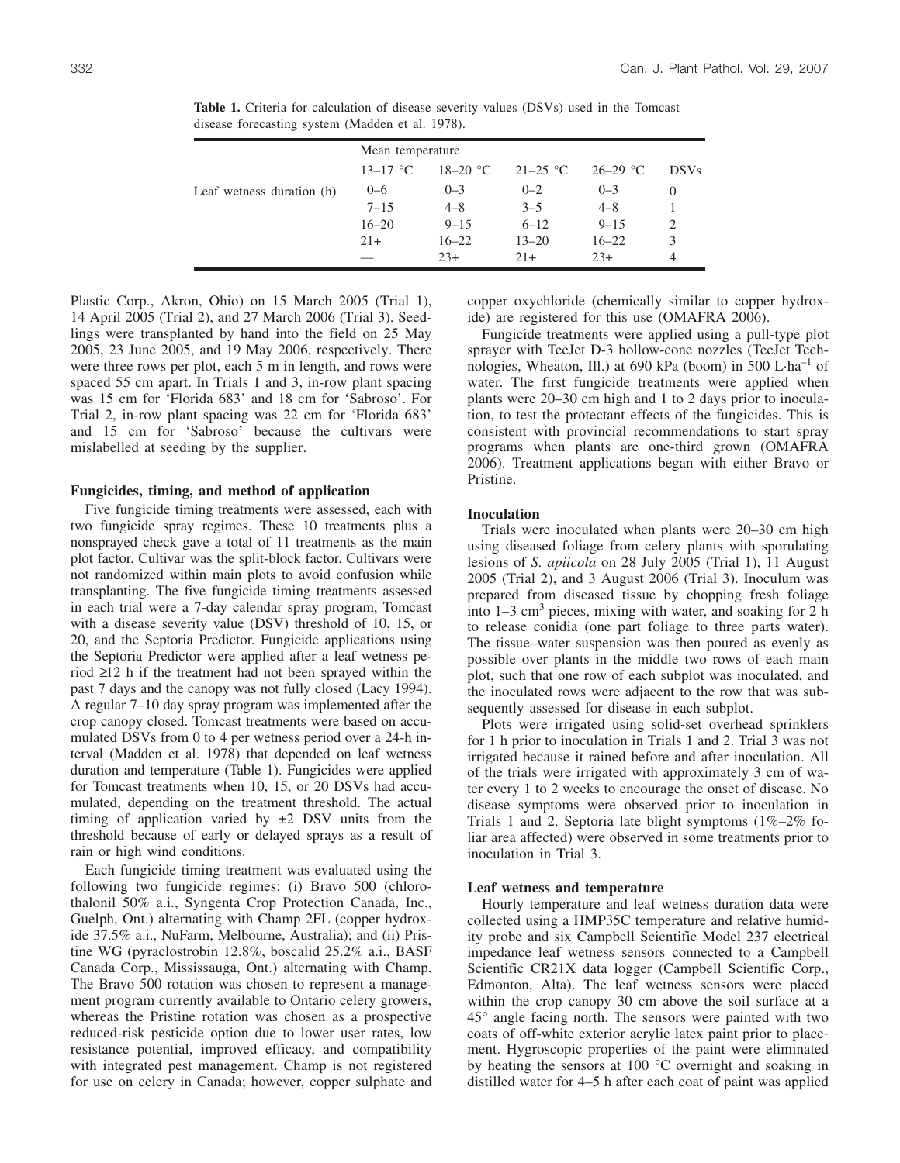|                           | Mean temperature |            |            |            |             |  |
|---------------------------|------------------|------------|------------|------------|-------------|--|
|                           | $13 - 17$ °C     | $18-20$ °C | $21-25$ °C | $26-29$ °C | <b>DSVs</b> |  |
| Leaf wetness duration (h) | $0 - 6$          | $0 - 3$    | $0 - 2$    | $0 - 3$    | O           |  |
|                           | $7 - 15$         | $4 - 8$    | $3 - 5$    | $4 - 8$    |             |  |
|                           | $16 - 20$        | $9 - 15$   | $6 - 12$   | $9 - 15$   | 2           |  |
|                           | $21+$            | $16 - 22$  | $13 - 20$  | $16 - 22$  | 3           |  |
|                           |                  | $23+$      | $21+$      | $23+$      |             |  |

**Table 1.** Criteria for calculation of disease severity values (DSVs) used in the Tomcast disease forecasting system (Madden et al. 1978).

Plastic Corp., Akron, Ohio) on 15 March 2005 (Trial 1), 14 April 2005 (Trial 2), and 27 March 2006 (Trial 3). Seedlings were transplanted by hand into the field on 25 May 2005, 23 June 2005, and 19 May 2006, respectively. There were three rows per plot, each 5 m in length, and rows were spaced 55 cm apart. In Trials 1 and 3, in-row plant spacing was 15 cm for 'Florida 683' and 18 cm for 'Sabroso'. For Trial 2, in-row plant spacing was 22 cm for 'Florida 683' and 15 cm for 'Sabroso' because the cultivars were mislabelled at seeding by the supplier.

#### **Fungicides, timing, and method of application**

Five fungicide timing treatments were assessed, each with two fungicide spray regimes. These 10 treatments plus a nonsprayed check gave a total of 11 treatments as the main plot factor. Cultivar was the split-block factor. Cultivars were not randomized within main plots to avoid confusion while transplanting. The five fungicide timing treatments assessed in each trial were a 7-day calendar spray program, Tomcast with a disease severity value (DSV) threshold of 10, 15, or 20, and the Septoria Predictor. Fungicide applications using the Septoria Predictor were applied after a leaf wetness period ≥12 h if the treatment had not been sprayed within the past 7 days and the canopy was not fully closed (Lacy 1994). A regular 7–10 day spray program was implemented after the crop canopy closed. Tomcast treatments were based on accumulated DSVs from 0 to 4 per wetness period over a 24-h interval (Madden et al. 1978) that depended on leaf wetness duration and temperature (Table 1). Fungicides were applied for Tomcast treatments when 10, 15, or 20 DSVs had accumulated, depending on the treatment threshold. The actual timing of application varied by  $\pm 2$  DSV units from the threshold because of early or delayed sprays as a result of rain or high wind conditions.

Each fungicide timing treatment was evaluated using the following two fungicide regimes: (i) Bravo 500 (chlorothalonil 50% a.i., Syngenta Crop Protection Canada, Inc., Guelph, Ont.) alternating with Champ 2FL (copper hydroxide 37.5% a.i., NuFarm, Melbourne, Australia); and (ii) Pristine WG (pyraclostrobin 12.8%, boscalid 25.2% a.i., BASF Canada Corp., Mississauga, Ont.) alternating with Champ. The Bravo 500 rotation was chosen to represent a management program currently available to Ontario celery growers, whereas the Pristine rotation was chosen as a prospective reduced-risk pesticide option due to lower user rates, low resistance potential, improved efficacy, and compatibility with integrated pest management. Champ is not registered for use on celery in Canada; however, copper sulphate and copper oxychloride (chemically similar to copper hydroxide) are registered for this use (OMAFRA 2006).

Fungicide treatments were applied using a pull-type plot sprayer with TeeJet D-3 hollow-cone nozzles (TeeJet Technologies, Wheaton, Ill.) at 690 kPa (boom) in 500 L $\cdot$ ha<sup>-1</sup> of water. The first fungicide treatments were applied when plants were 20–30 cm high and 1 to 2 days prior to inoculation, to test the protectant effects of the fungicides. This is consistent with provincial recommendations to start spray programs when plants are one-third grown (OMAFRA 2006). Treatment applications began with either Bravo or Pristine.

#### **Inoculation**

Trials were inoculated when plants were 20–30 cm high using diseased foliage from celery plants with sporulating lesions of *S. apiicola* on 28 July 2005 (Trial 1), 11 August 2005 (Trial 2), and 3 August 2006 (Trial 3). Inoculum was prepared from diseased tissue by chopping fresh foliage into  $1-3$  cm<sup>3</sup> pieces, mixing with water, and soaking for 2 h to release conidia (one part foliage to three parts water). The tissue–water suspension was then poured as evenly as possible over plants in the middle two rows of each main plot, such that one row of each subplot was inoculated, and the inoculated rows were adjacent to the row that was subsequently assessed for disease in each subplot.

Plots were irrigated using solid-set overhead sprinklers for 1 h prior to inoculation in Trials 1 and 2. Trial 3 was not irrigated because it rained before and after inoculation. All of the trials were irrigated with approximately 3 cm of water every 1 to 2 weeks to encourage the onset of disease. No disease symptoms were observed prior to inoculation in Trials 1 and 2. Septoria late blight symptoms (1%–2% foliar area affected) were observed in some treatments prior to inoculation in Trial 3.

## **Leaf wetness and temperature**

Hourly temperature and leaf wetness duration data were collected using a HMP35C temperature and relative humidity probe and six Campbell Scientific Model 237 electrical impedance leaf wetness sensors connected to a Campbell Scientific CR21X data logger (Campbell Scientific Corp., Edmonton, Alta). The leaf wetness sensors were placed within the crop canopy 30 cm above the soil surface at a 45° angle facing north. The sensors were painted with two coats of off-white exterior acrylic latex paint prior to placement. Hygroscopic properties of the paint were eliminated by heating the sensors at 100 °C overnight and soaking in distilled water for 4–5 h after each coat of paint was applied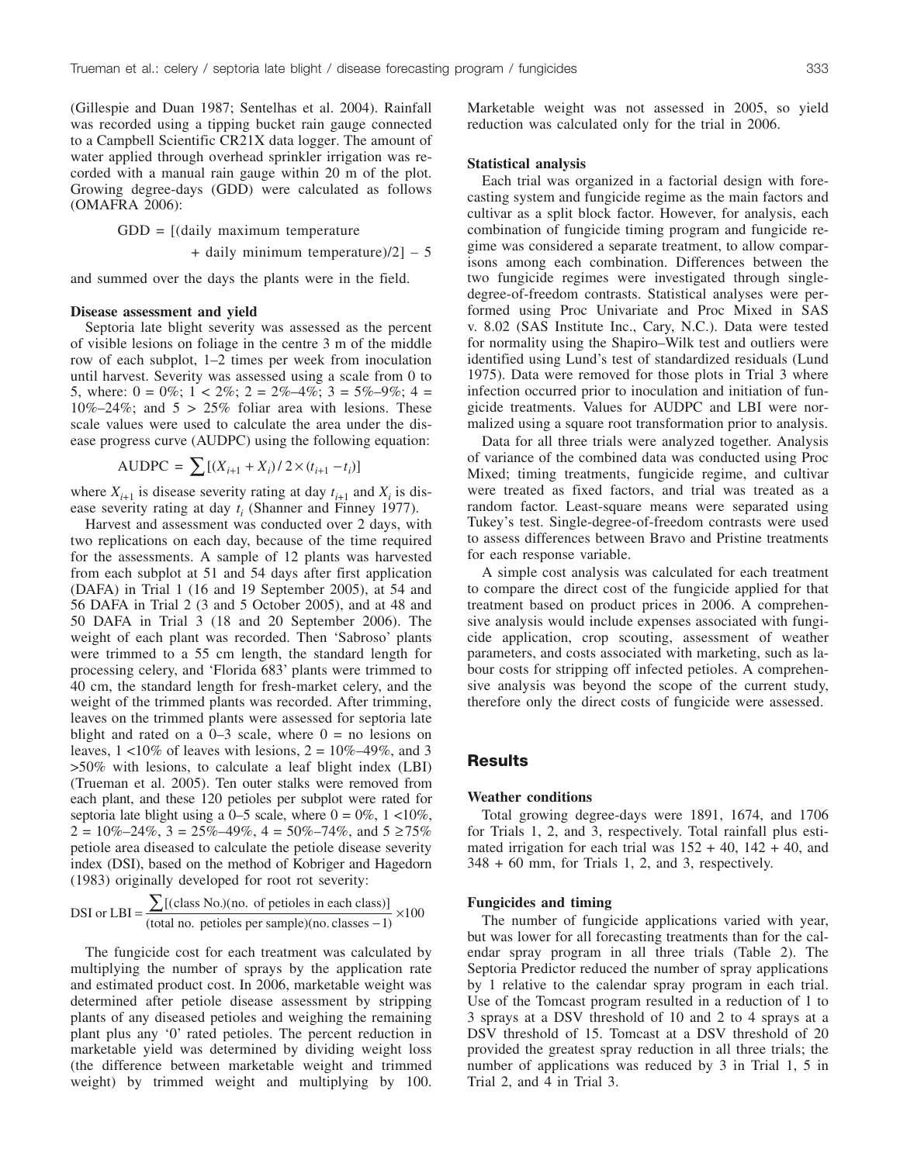(Gillespie and Duan 1987; Sentelhas et al. 2004). Rainfall was recorded using a tipping bucket rain gauge connected to a Campbell Scientific CR21X data logger. The amount of water applied through overhead sprinkler irrigation was recorded with a manual rain gauge within 20 m of the plot. Growing degree-days (GDD) were calculated as follows (OMAFRA 2006):

 $GDD = [(\text{daily maximum temperature})$ 

+ daily minimum temperature) $/2$ ] – 5

and summed over the days the plants were in the field.

#### **Disease assessment and yield**

Septoria late blight severity was assessed as the percent of visible lesions on foliage in the centre 3 m of the middle row of each subplot, 1–2 times per week from inoculation until harvest. Severity was assessed using a scale from 0 to 5, where:  $0 = 0\%$ ;  $1 < 2\%$ ;  $2 = 2\% - 4\%$ ;  $3 = 5\% - 9\%$ ;  $4 =$  $10\% - 24\%$ ; and  $5 > 25\%$  foliar area with lesions. These scale values were used to calculate the area under the disease progress curve (AUDPC) using the following equation:

$$
AUDPC = \sum [(X_{i+1} + X_i)/2 \times (t_{i+1} - t_i)]
$$

where  $X_{i+1}$  is disease severity rating at day  $t_{i+1}$  and  $X_i$  is disease severity rating at day  $t_i$  (Shanner and Finney 1977).

Harvest and assessment was conducted over 2 days, with two replications on each day, because of the time required for the assessments. A sample of 12 plants was harvested from each subplot at 51 and 54 days after first application (DAFA) in Trial 1 (16 and 19 September 2005), at 54 and 56 DAFA in Trial 2 (3 and 5 October 2005), and at 48 and 50 DAFA in Trial 3 (18 and 20 September 2006). The weight of each plant was recorded. Then 'Sabroso' plants were trimmed to a 55 cm length, the standard length for processing celery, and 'Florida 683' plants were trimmed to 40 cm, the standard length for fresh-market celery, and the weight of the trimmed plants was recorded. After trimming, leaves on the trimmed plants were assessed for septoria late blight and rated on a  $0-3$  scale, where  $0 =$  no lesions on leaves,  $1 < 10\%$  of leaves with lesions,  $2 = 10\% - 49\%$ , and 3 >50% with lesions, to calculate a leaf blight index (LBI) (Trueman et al. 2005). Ten outer stalks were removed from each plant, and these 120 petioles per subplot were rated for septoria late blight using a 0–5 scale, where  $0 = 0\%$ ,  $1 < 10\%$ ,  $2 = 10\% - 24\%, 3 = 25\% - 49\%, 4 = 50\% - 74\%, \text{ and } 5 \ge 75\%$ petiole area diseased to calculate the petiole disease severity index (DSI), based on the method of Kobriger and Hagedorn (1983) originally developed for root rot severity:

$$
DSI \text{ or } LBI = \frac{\sum [(\text{class No.})(\text{no. of petites in each class})]}{(\text{total no. petites per sample})(\text{no. classes} - 1)} \times 100
$$

The fungicide cost for each treatment was calculated by multiplying the number of sprays by the application rate and estimated product cost. In 2006, marketable weight was determined after petiole disease assessment by stripping plants of any diseased petioles and weighing the remaining plant plus any '0' rated petioles. The percent reduction in marketable yield was determined by dividing weight loss (the difference between marketable weight and trimmed weight) by trimmed weight and multiplying by 100.

Marketable weight was not assessed in 2005, so yield reduction was calculated only for the trial in 2006.

#### **Statistical analysis**

Each trial was organized in a factorial design with forecasting system and fungicide regime as the main factors and cultivar as a split block factor. However, for analysis, each combination of fungicide timing program and fungicide regime was considered a separate treatment, to allow comparisons among each combination. Differences between the two fungicide regimes were investigated through singledegree-of-freedom contrasts. Statistical analyses were performed using Proc Univariate and Proc Mixed in SAS v. 8.02 (SAS Institute Inc., Cary, N.C.). Data were tested for normality using the Shapiro–Wilk test and outliers were identified using Lund's test of standardized residuals (Lund 1975). Data were removed for those plots in Trial 3 where infection occurred prior to inoculation and initiation of fungicide treatments. Values for AUDPC and LBI were normalized using a square root transformation prior to analysis.

Data for all three trials were analyzed together. Analysis of variance of the combined data was conducted using Proc Mixed; timing treatments, fungicide regime, and cultivar were treated as fixed factors, and trial was treated as a random factor. Least-square means were separated using Tukey's test. Single-degree-of-freedom contrasts were used to assess differences between Bravo and Pristine treatments for each response variable.

A simple cost analysis was calculated for each treatment to compare the direct cost of the fungicide applied for that treatment based on product prices in 2006. A comprehensive analysis would include expenses associated with fungicide application, crop scouting, assessment of weather parameters, and costs associated with marketing, such as labour costs for stripping off infected petioles. A comprehensive analysis was beyond the scope of the current study, therefore only the direct costs of fungicide were assessed.

## **Results**

## **Weather conditions**

Total growing degree-days were 1891, 1674, and 1706 for Trials 1, 2, and 3, respectively. Total rainfall plus estimated irrigation for each trial was  $152 + 40$ ,  $142 + 40$ , and 348 + 60 mm, for Trials 1, 2, and 3, respectively.

#### **Fungicides and timing**

The number of fungicide applications varied with year, but was lower for all forecasting treatments than for the calendar spray program in all three trials (Table 2). The Septoria Predictor reduced the number of spray applications by 1 relative to the calendar spray program in each trial. Use of the Tomcast program resulted in a reduction of 1 to 3 sprays at a DSV threshold of 10 and 2 to 4 sprays at a DSV threshold of 15. Tomcast at a DSV threshold of 20 provided the greatest spray reduction in all three trials; the number of applications was reduced by 3 in Trial 1, 5 in Trial 2, and 4 in Trial 3.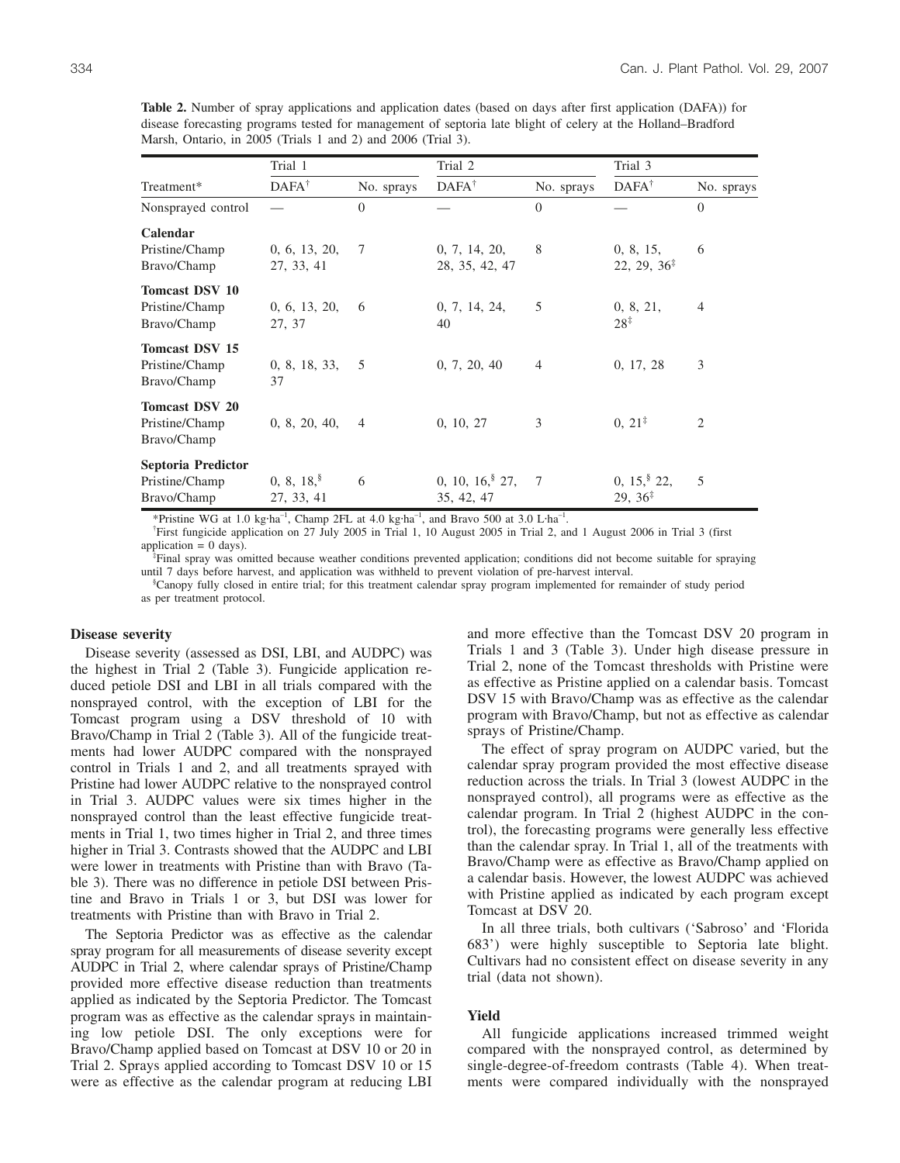**Table 2.** Number of spray applications and application dates (based on days after first application (DAFA)) for disease forecasting programs tested for management of septoria late blight of celery at the Holland–Bradford Marsh, Ontario, in 2005 (Trials 1 and 2) and 2006 (Trial 3).

|                                                        | Trial 1                     |            | Trial 2                            |                | Trial 3                                 |                |
|--------------------------------------------------------|-----------------------------|------------|------------------------------------|----------------|-----------------------------------------|----------------|
| Treatment*                                             | $DAFA^{\dagger}$            | No. sprays | $DAFA^{\dagger}$                   | No. sprays     | $DAFA^{\dagger}$                        | No. sprays     |
| Nonsprayed control                                     |                             | $\Omega$   |                                    | $\Omega$       |                                         | $\Omega$       |
| Calendar<br>Pristine/Champ<br>Bravo/Champ              | 0, 6, 13, 20,<br>27, 33, 41 | $\tau$     | 0, 7, 14, 20,<br>28, 35, 42, 47    | 8              | 0, 8, 15,<br>$22, 29, 36^{\ddagger}$    | 6              |
| <b>Tomcast DSV 10</b><br>Pristine/Champ<br>Bravo/Champ | 0, 6, 13, 20,<br>27, 37     | 6          | 0, 7, 14, 24,<br>40                | 5              | 0, 8, 21,<br>$28^{\ddagger}$            | $\overline{4}$ |
| <b>Tomcast DSV 15</b><br>Pristine/Champ<br>Bravo/Champ | 0, 8, 18, 33,<br>37         | 5          | 0, 7, 20, 40                       | $\overline{4}$ | 0, 17, 28                               | 3              |
| <b>Tomcast DSV 20</b><br>Pristine/Champ<br>Bravo/Champ | 0, 8, 20, 40,               | 4          | 0, 10, 27                          | 3              | $0, 21^{\ddagger}$                      | $\overline{c}$ |
| Septoria Predictor<br>Pristine/Champ<br>Bravo/Champ    | 0, 8, 18<br>27, 33, 41      | 6          | $0, 10, 16$ , $27$ ,<br>35, 42, 47 | 7              | $0, 15$ , $22$ ,<br>$29, 36^{\ddagger}$ | 5              |

\*Pristine WG at 1.0 kg·ha<sup>-1</sup>, Champ 2FL at 4.0 kg·ha<sup>-1</sup>, and Bravo 500 at 3.0 L·ha<sup>-1</sup>.<br><sup>†</sup>First funcioide application on 27 July 2005 in Trial 1, 10 August 2005 in Trial 2, at

First fungicide application on 27 July 2005 in Trial 1, 10 August 2005 in Trial 2, and 1 August 2006 in Trial 3 (first

application  $= 0$  days).

Final spray was omitted because weather conditions prevented application; conditions did not become suitable for spraying until 7 days before harvest, and application was withheld to prevent violation of pre-harvest interval.

<sup>§</sup>Canopy fully closed in entire trial; for this treatment calendar spray program implemented for remainder of study period as per treatment protocol.

#### **Disease severity**

Disease severity (assessed as DSI, LBI, and AUDPC) was the highest in Trial 2 (Table 3). Fungicide application reduced petiole DSI and LBI in all trials compared with the nonsprayed control, with the exception of LBI for the Tomcast program using a DSV threshold of 10 with Bravo/Champ in Trial 2 (Table 3). All of the fungicide treatments had lower AUDPC compared with the nonsprayed control in Trials 1 and 2, and all treatments sprayed with Pristine had lower AUDPC relative to the nonsprayed control in Trial 3. AUDPC values were six times higher in the nonsprayed control than the least effective fungicide treatments in Trial 1, two times higher in Trial 2, and three times higher in Trial 3. Contrasts showed that the AUDPC and LBI were lower in treatments with Pristine than with Bravo (Table 3). There was no difference in petiole DSI between Pristine and Bravo in Trials 1 or 3, but DSI was lower for treatments with Pristine than with Bravo in Trial 2.

The Septoria Predictor was as effective as the calendar spray program for all measurements of disease severity except AUDPC in Trial 2, where calendar sprays of Pristine/Champ provided more effective disease reduction than treatments applied as indicated by the Septoria Predictor. The Tomcast program was as effective as the calendar sprays in maintaining low petiole DSI. The only exceptions were for Bravo/Champ applied based on Tomcast at DSV 10 or 20 in Trial 2. Sprays applied according to Tomcast DSV 10 or 15 were as effective as the calendar program at reducing LBI

and more effective than the Tomcast DSV 20 program in Trials 1 and 3 (Table 3). Under high disease pressure in Trial 2, none of the Tomcast thresholds with Pristine were as effective as Pristine applied on a calendar basis. Tomcast DSV 15 with Bravo/Champ was as effective as the calendar program with Bravo/Champ, but not as effective as calendar sprays of Pristine/Champ.

The effect of spray program on AUDPC varied, but the calendar spray program provided the most effective disease reduction across the trials. In Trial 3 (lowest AUDPC in the nonsprayed control), all programs were as effective as the calendar program. In Trial 2 (highest AUDPC in the control), the forecasting programs were generally less effective than the calendar spray. In Trial 1, all of the treatments with Bravo/Champ were as effective as Bravo/Champ applied on a calendar basis. However, the lowest AUDPC was achieved with Pristine applied as indicated by each program except Tomcast at DSV 20.

In all three trials, both cultivars ('Sabroso' and 'Florida 683') were highly susceptible to Septoria late blight. Cultivars had no consistent effect on disease severity in any trial (data not shown).

#### **Yield**

All fungicide applications increased trimmed weight compared with the nonsprayed control, as determined by single-degree-of-freedom contrasts (Table 4). When treatments were compared individually with the nonsprayed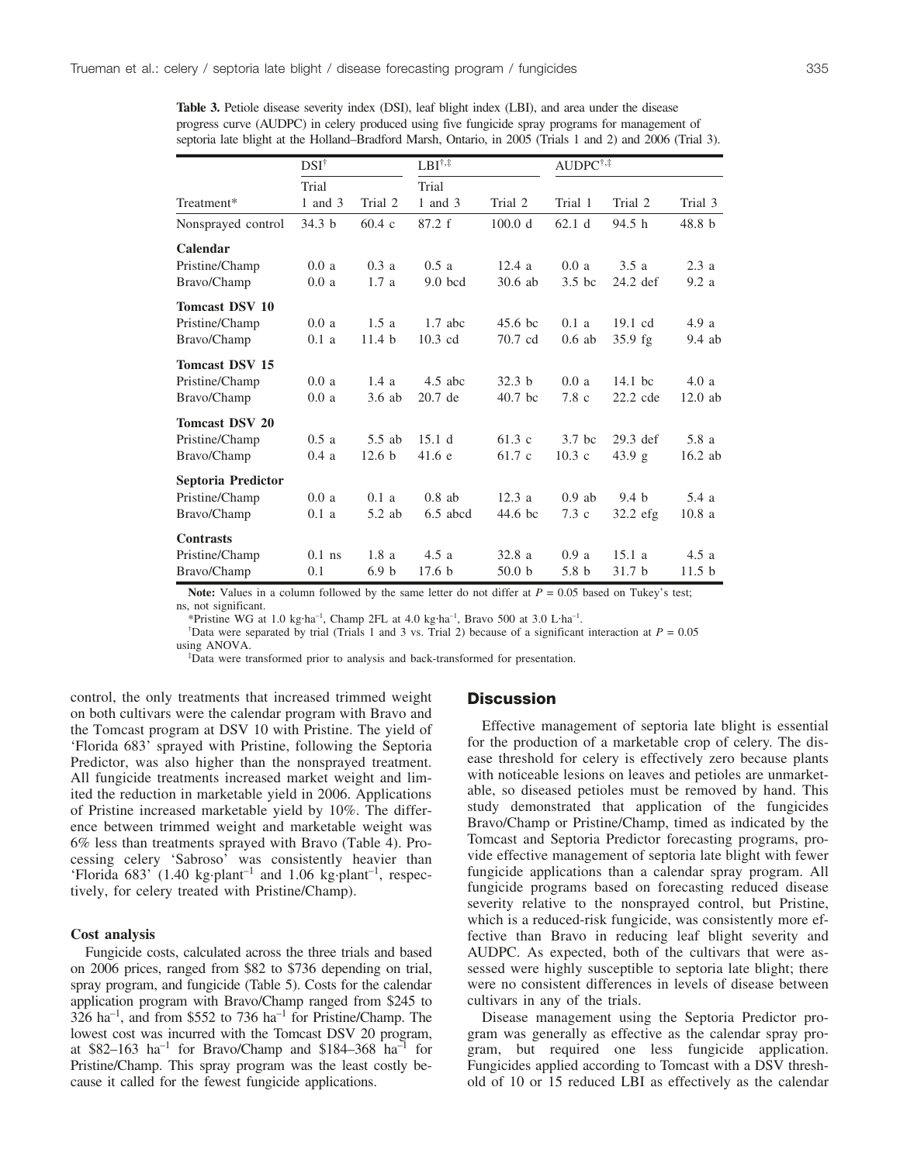**Table 3.** Petiole disease severity index (DSI), leaf blight index (LBI), and area under the disease progress curve (AUDPC) in celery produced using five fungicide spray programs for management of septoria late blight at the Holland–Bradford Marsh, Ontario, in 2005 (Trials 1 and 2) and 2006 (Trial 3).

|                       | $DSI^{\dagger}$   |                   | $LBI^{\dagger,\ddagger}$ |                   | $\text{AUDPC}^{\dagger,\ddagger}$ |                   |                   |
|-----------------------|-------------------|-------------------|--------------------------|-------------------|-----------------------------------|-------------------|-------------------|
|                       | Trial             |                   | Trial                    |                   |                                   |                   |                   |
| Treatment*            | 1 and 3           | Trial 2           | 1 and 3                  | Trial 2           | Trial 1                           | Trial 2           | Trial 3           |
| Nonsprayed control    | 34.3 <sub>b</sub> | 60.4c             | 87.2 f                   | 100.0 d           | 62.1 <sub>d</sub>                 | 94.5 h            | 48.8 h            |
| Calendar              |                   |                   |                          |                   |                                   |                   |                   |
| Pristine/Champ        | 0.0a              | 0.3a              | 0.5a                     | 12.4a             | 0.0a                              | 3.5a              | 2.3a              |
| Bravo/Champ           | 0.0a              | 1.7a              | $9.0$ bcd                | $30.6$ ab         | $3.5$ bc                          | $24.2$ def        | 9.2a              |
| <b>Tomcast DSV 10</b> |                   |                   |                          |                   |                                   |                   |                   |
| Pristine/Champ        | 0.0a              | 1.5a              | $1.7$ abc                | 45.6 bc           | 0.1a                              | $19.1 \text{ cd}$ | 4.9a              |
| Bravo/Champ           | 0.1a              | 11.4 <sub>b</sub> | $10.3$ cd                | 70.7 cd           | $0.6$ ab                          | 35.9 fg           | $9.4$ ab          |
| <b>Tomcast DSV 15</b> |                   |                   |                          |                   |                                   |                   |                   |
| Pristine/Champ        | 0.0a              | 1.4a              | $4.5$ abc                | 32.3 <sub>b</sub> | 0.0a                              | $14.1$ bc         | 4.0a              |
| Bravo/Champ           | 0.0a              | $3.6$ ab          | 20.7 de                  | $40.7$ bc         | $7.8\text{ c}$                    | $22.2$ cde        | $12.0$ ab         |
| <b>Tomcast DSV 20</b> |                   |                   |                          |                   |                                   |                   |                   |
| Pristine/Champ        | 0.5a              | $5.5$ ab          | 15.1 d                   | 61.3c             | $3.7$ bc                          | $29.3$ def        | 5.8 a             |
| Bravo/Champ           | 0.4a              | 12.6 <sub>b</sub> | 41.6 e                   | 61.7 c            | $10.3 \text{ c}$                  | 43.9 g            | 16.2 ab           |
| Septoria Predictor    |                   |                   |                          |                   |                                   |                   |                   |
| Pristine/Champ        | 0.0a              | 0.1a              | $0.8$ ab                 | 12.3a             | $0.9$ ab                          | 9.4 h             | 5.4 a             |
| Bravo/Champ           | 0.1a              | 5.2 ab            | $6.5$ abcd               | 44.6 bc           | $7.3\text{ c}$                    | $32.2$ efg        | 10.8a             |
| <b>Contrasts</b>      |                   |                   |                          |                   |                                   |                   |                   |
| Pristine/Champ        | $0.1$ ns          | 1.8a              | 4.5a                     | 32.8 a            | 0.9a                              | 15.1a             | 4.5a              |
| Bravo/Champ           | 0.1               | 6.9 <sub>b</sub>  | 17.6 <sub>b</sub>        | 50.0 <sub>b</sub> | 5.8 <sub>b</sub>                  | 31.7 <sub>b</sub> | 11.5 <sub>b</sub> |

**Note:** Values in a column followed by the same letter do not differ at  $P = 0.05$  based on Tukey's test; ns, not significant.

\*Pristine WG at 1.0 kg·ha<sup>-1</sup>, Champ 2FL at 4.0 kg·ha<sup>-1</sup>, Bravo 500 at 3.0 L·ha<sup>-1</sup>.

<sup>†</sup>Data were separated by trial (Trials 1 and 3 vs. Trial 2) because of a significant interaction at  $P = 0.05$ using ANOVA.

Data were transformed prior to analysis and back-transformed for presentation.

control, the only treatments that increased trimmed weight on both cultivars were the calendar program with Bravo and the Tomcast program at DSV 10 with Pristine. The yield of 'Florida 683' sprayed with Pristine, following the Septoria Predictor, was also higher than the nonsprayed treatment. All fungicide treatments increased market weight and limited the reduction in marketable yield in 2006. Applications of Pristine increased marketable yield by 10%. The difference between trimmed weight and marketable weight was 6% less than treatments sprayed with Bravo (Table 4). Processing celery 'Sabroso' was consistently heavier than 'Florida  $683'$  (1.40 kg·plant<sup>-1</sup> and 1.06 kg·plant<sup>-1</sup>, respectively, for celery treated with Pristine/Champ).

## **Cost analysis**

Fungicide costs, calculated across the three trials and based on 2006 prices, ranged from \$82 to \$736 depending on trial, spray program, and fungicide (Table 5). Costs for the calendar application program with Bravo/Champ ranged from \$245 to  $326$  ha<sup>-1</sup>, and from \$552 to 736 ha<sup>-1</sup> for Pristine/Champ. The lowest cost was incurred with the Tomcast DSV 20 program, at \$82–163 ha<sup>-1</sup> for Bravo/Champ and \$184–368 ha<sup>-1</sup> for Pristine/Champ. This spray program was the least costly because it called for the fewest fungicide applications.

## **Discussion**

Effective management of septoria late blight is essential for the production of a marketable crop of celery. The disease threshold for celery is effectively zero because plants with noticeable lesions on leaves and petioles are unmarketable, so diseased petioles must be removed by hand. This study demonstrated that application of the fungicides Bravo/Champ or Pristine/Champ, timed as indicated by the Tomcast and Septoria Predictor forecasting programs, provide effective management of septoria late blight with fewer fungicide applications than a calendar spray program. All fungicide programs based on forecasting reduced disease severity relative to the nonsprayed control, but Pristine, which is a reduced-risk fungicide, was consistently more effective than Bravo in reducing leaf blight severity and AUDPC. As expected, both of the cultivars that were assessed were highly susceptible to septoria late blight; there were no consistent differences in levels of disease between cultivars in any of the trials.

Disease management using the Septoria Predictor program was generally as effective as the calendar spray program, but required one less fungicide application. Fungicides applied according to Tomcast with a DSV threshold of 10 or 15 reduced LBI as effectively as the calendar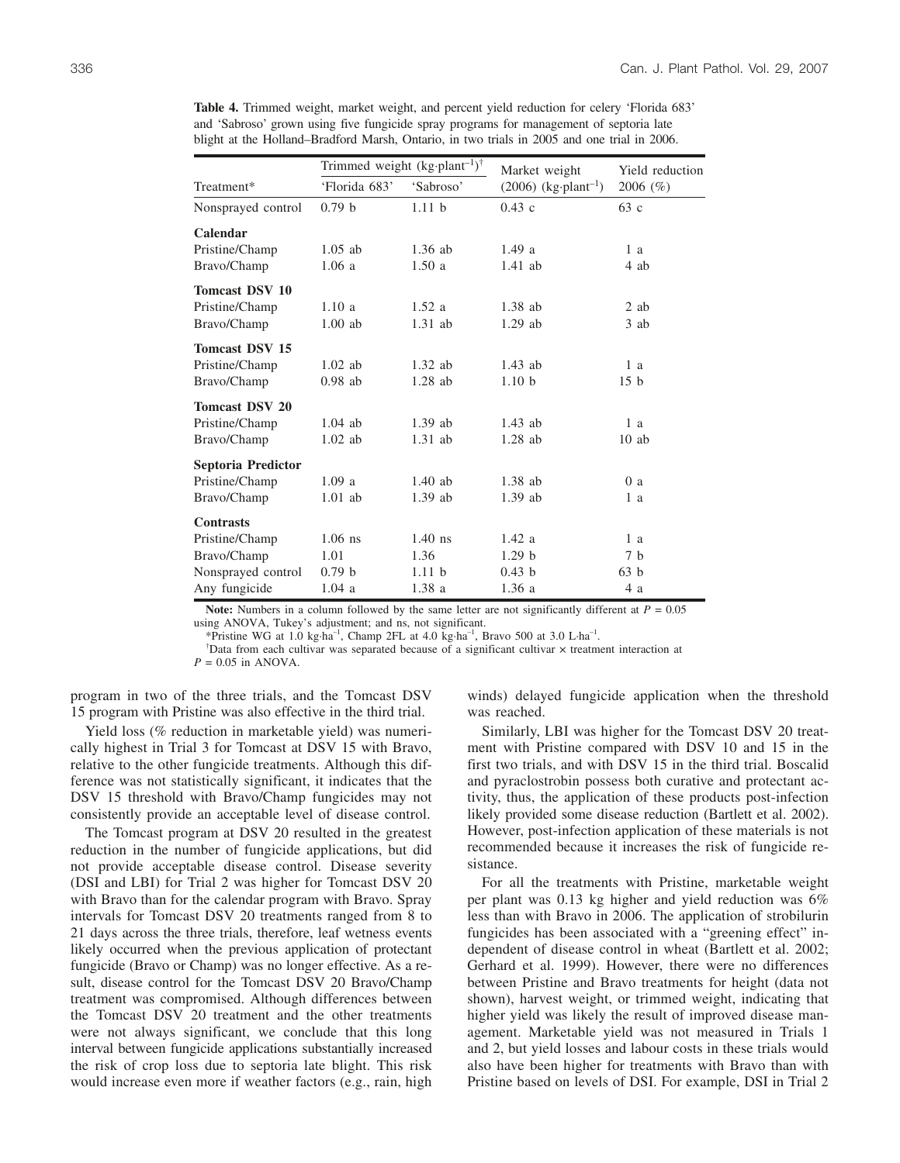|                       |                   | Trimmed weight $(kg\cdot plant^{-1})^{\dagger}$ | Market weight                      | Yield reduction<br>2006 (%) |  |
|-----------------------|-------------------|-------------------------------------------------|------------------------------------|-----------------------------|--|
| Treatment*            | 'Florida 683'     | 'Sabroso'                                       | $(2006)$ (kg·plant <sup>-1</sup> ) |                             |  |
| Nonsprayed control    | 0.79 <sub>b</sub> | 1.11 <sub>b</sub>                               | 0.43c                              | 63c                         |  |
| Calendar              |                   |                                                 |                                    |                             |  |
| Pristine/Champ        | $1.05$ ab         | $1.36$ ab                                       | 1.49a                              | 1a                          |  |
| Bravo/Champ           | 1.06a             | 1.50a                                           | $1.41$ ab                          | 4 ab                        |  |
| <b>Tomcast DSV 10</b> |                   |                                                 |                                    |                             |  |
| Pristine/Champ        | 1.10a             | 1.52a                                           | $1.38$ ab                          | $2$ ab                      |  |
| Bravo/Champ           | $1.00$ ab         | $1.31$ ab                                       | $1.29$ ab                          | 3 ab                        |  |
| <b>Tomcast DSV 15</b> |                   |                                                 |                                    |                             |  |
| Pristine/Champ        | $1.02$ ab         | $1.32$ ab                                       | $1.43$ ab                          | 1a                          |  |
| Bravo/Champ           | $0.98$ ab         | $1.28$ ab                                       | 1.10 <sub>b</sub>                  | 15 <sub>b</sub>             |  |
| <b>Tomcast DSV 20</b> |                   |                                                 |                                    |                             |  |
| Pristine/Champ        | $1.04$ ab         | $1.39$ ab                                       | $1.43$ ab                          | 1 a                         |  |
| Bravo/Champ           | $1.02$ ab         | $1.31$ ab                                       | $1.28$ ab                          | 10ab                        |  |
| Septoria Predictor    |                   |                                                 |                                    |                             |  |
| Pristine/Champ        | 1.09a             | $1.40$ ab                                       | $1.38$ ab                          | 0a                          |  |
| Bravo/Champ           | $1.01$ ab         | $1.39$ ab                                       | $1.39$ ab                          | 1 a                         |  |
| <b>Contrasts</b>      |                   |                                                 |                                    |                             |  |
| Pristine/Champ        | $1.06$ ns         | $1.40$ ns                                       | 1.42a                              | 1a                          |  |
| Bravo/Champ           | 1.01              | 1.36                                            | 1.29 <sub>b</sub>                  | 7 <sub>b</sub>              |  |
| Nonsprayed control    | 0.79 <sub>b</sub> | 1.11 <sub>b</sub>                               | 0.43 <sub>b</sub>                  | 63 <sub>h</sub>             |  |
| Any fungicide         | 1.04a             | 1.38a                                           | 1.36a                              | 4 a                         |  |

**Table 4.** Trimmed weight, market weight, and percent yield reduction for celery 'Florida 683' and 'Sabroso' grown using five fungicide spray programs for management of septoria late blight at the Holland–Bradford Marsh, Ontario, in two trials in 2005 and one trial in 2006.

**Note:** Numbers in a column followed by the same letter are not significantly different at  $P = 0.05$ using ANOVA, Tukey's adjustment; and ns, not significant.

\*Pristine WG at 1.0 kg·ha<sup>-1</sup>, Champ 2FL at 4.0 kg·ha<sup>-1</sup>, Bravo 500 at 3.0 L·ha<sup>-1</sup>.

Data from each cultivar was separated because of a significant cultivar  $\times$  treatment interaction at

*P* = 0.05 in ANOVA.

program in two of the three trials, and the Tomcast DSV 15 program with Pristine was also effective in the third trial.

Yield loss (% reduction in marketable yield) was numerically highest in Trial 3 for Tomcast at DSV 15 with Bravo, relative to the other fungicide treatments. Although this difference was not statistically significant, it indicates that the DSV 15 threshold with Bravo/Champ fungicides may not consistently provide an acceptable level of disease control.

The Tomcast program at DSV 20 resulted in the greatest reduction in the number of fungicide applications, but did not provide acceptable disease control. Disease severity (DSI and LBI) for Trial 2 was higher for Tomcast DSV 20 with Bravo than for the calendar program with Bravo. Spray intervals for Tomcast DSV 20 treatments ranged from 8 to 21 days across the three trials, therefore, leaf wetness events likely occurred when the previous application of protectant fungicide (Bravo or Champ) was no longer effective. As a result, disease control for the Tomcast DSV 20 Bravo/Champ treatment was compromised. Although differences between the Tomcast DSV 20 treatment and the other treatments were not always significant, we conclude that this long interval between fungicide applications substantially increased the risk of crop loss due to septoria late blight. This risk would increase even more if weather factors (e.g., rain, high winds) delayed fungicide application when the threshold was reached.

Similarly, LBI was higher for the Tomcast DSV 20 treatment with Pristine compared with DSV 10 and 15 in the first two trials, and with DSV 15 in the third trial. Boscalid and pyraclostrobin possess both curative and protectant activity, thus, the application of these products post-infection likely provided some disease reduction (Bartlett et al. 2002). However, post-infection application of these materials is not recommended because it increases the risk of fungicide resistance.

For all the treatments with Pristine, marketable weight per plant was 0.13 kg higher and yield reduction was 6% less than with Bravo in 2006. The application of strobilurin fungicides has been associated with a "greening effect" independent of disease control in wheat (Bartlett et al. 2002; Gerhard et al. 1999). However, there were no differences between Pristine and Bravo treatments for height (data not shown), harvest weight, or trimmed weight, indicating that higher yield was likely the result of improved disease management. Marketable yield was not measured in Trials 1 and 2, but yield losses and labour costs in these trials would also have been higher for treatments with Bravo than with Pristine based on levels of DSI. For example, DSI in Trial 2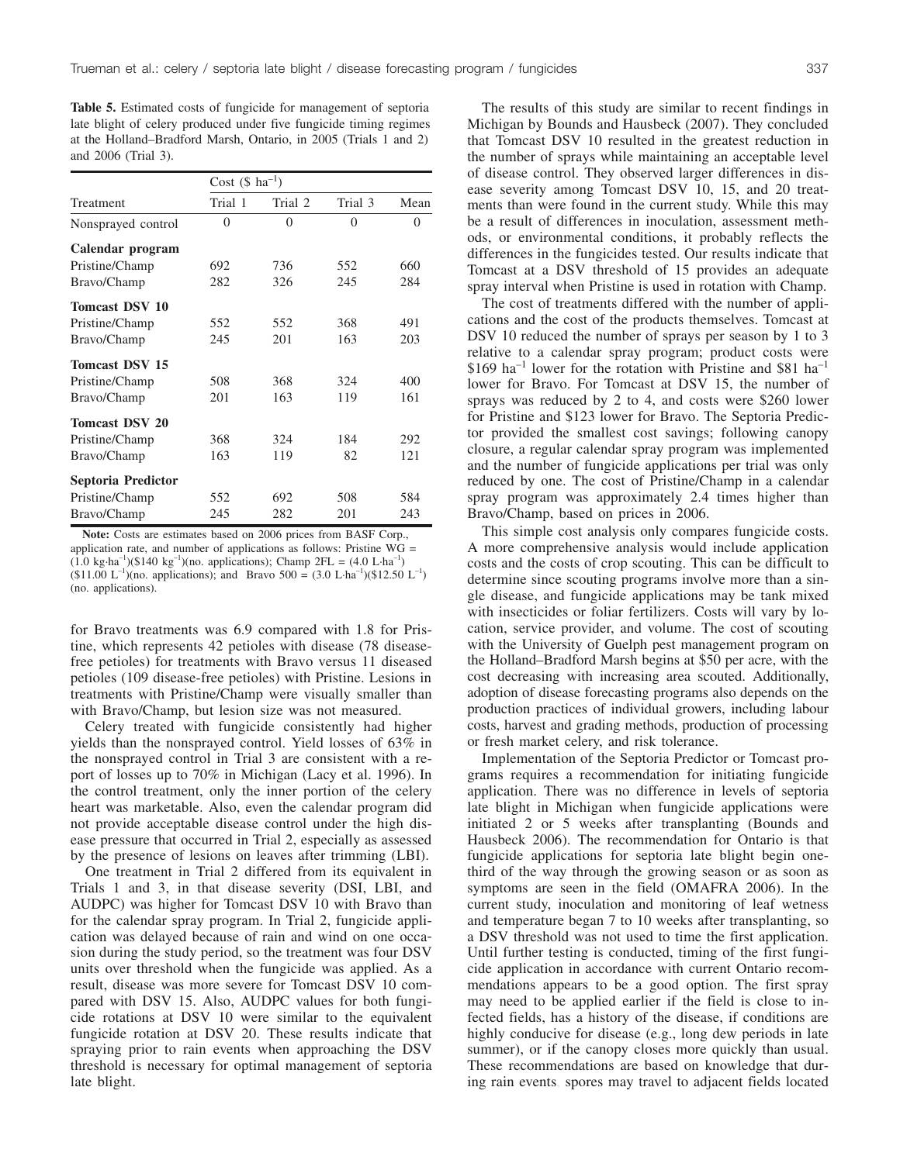**Table 5.** Estimated costs of fungicide for management of septoria late blight of celery produced under five fungicide timing regimes at the Holland–Bradford Marsh, Ontario, in 2005 (Trials 1 and 2) and 2006 (Trial 3).

|                       | Cost $(\$$ ha <sup>-1</sup> ) |          |          |          |  |
|-----------------------|-------------------------------|----------|----------|----------|--|
| Treatment             | Trial 1                       | Trial 2  | Trial 3  | Mean     |  |
| Nonsprayed control    | $\theta$                      | $\Omega$ | $\theta$ | $\theta$ |  |
| Calendar program      |                               |          |          |          |  |
| Pristine/Champ        | 692                           | 736      | 552      | 660      |  |
| Bravo/Champ           | 282                           | 326      | 245      | 284      |  |
| <b>Tomcast DSV 10</b> |                               |          |          |          |  |
| Pristine/Champ        | 552                           | 552      | 368      | 491      |  |
| Bravo/Champ           | 245                           | 201      | 163      | 203      |  |
| <b>Tomcast DSV 15</b> |                               |          |          |          |  |
| Pristine/Champ        | 508                           | 368      | 324      | 400      |  |
| Bravo/Champ           | 201                           | 163      | 119      | 161      |  |
| <b>Tomcast DSV 20</b> |                               |          |          |          |  |
| Pristine/Champ        | 368                           | 324      | 184      | 292      |  |
| Bravo/Champ           | 163                           | 119      | 82       | 121      |  |
| Septoria Predictor    |                               |          |          |          |  |
| Pristine/Champ        | 552                           | 692      | 508      | 584      |  |
| Bravo/Champ           | 245                           | 282      | 201      | 243      |  |

**Note:** Costs are estimates based on 2006 prices from BASF Corp., application rate, and number of applications as follows: Pristine  $\hat{WG}$  =  $(1.0 \text{ kg} \cdot \text{ha}^{-1})(\$140 \text{ kg}^{-1})(\text{no. applications});$  Champ  $2FL = (4.0 \text{ L} \cdot \text{ha}^{-1})$  $(11.00 \text{ L}^{-1})$ (no. applications); and Bravo 500 = (3.0 L·ha<sup>-1</sup>)(\$12.50 L<sup>-1</sup>) (no. applications).

for Bravo treatments was 6.9 compared with 1.8 for Pristine, which represents 42 petioles with disease (78 diseasefree petioles) for treatments with Bravo versus 11 diseased petioles (109 disease-free petioles) with Pristine. Lesions in treatments with Pristine/Champ were visually smaller than with Bravo/Champ, but lesion size was not measured.

Celery treated with fungicide consistently had higher yields than the nonsprayed control. Yield losses of 63% in the nonsprayed control in Trial 3 are consistent with a report of losses up to 70% in Michigan (Lacy et al. 1996). In the control treatment, only the inner portion of the celery heart was marketable. Also, even the calendar program did not provide acceptable disease control under the high disease pressure that occurred in Trial 2, especially as assessed by the presence of lesions on leaves after trimming (LBI).

One treatment in Trial 2 differed from its equivalent in Trials 1 and 3, in that disease severity (DSI, LBI, and AUDPC) was higher for Tomcast DSV 10 with Bravo than for the calendar spray program. In Trial 2, fungicide application was delayed because of rain and wind on one occasion during the study period, so the treatment was four DSV units over threshold when the fungicide was applied. As a result, disease was more severe for Tomcast DSV 10 compared with DSV 15. Also, AUDPC values for both fungicide rotations at DSV 10 were similar to the equivalent fungicide rotation at DSV 20. These results indicate that spraying prior to rain events when approaching the DSV threshold is necessary for optimal management of septoria late blight.

The results of this study are similar to recent findings in Michigan by Bounds and Hausbeck (2007). They concluded that Tomcast DSV 10 resulted in the greatest reduction in the number of sprays while maintaining an acceptable level of disease control. They observed larger differences in disease severity among Tomcast DSV 10, 15, and 20 treatments than were found in the current study. While this may be a result of differences in inoculation, assessment methods, or environmental conditions, it probably reflects the differences in the fungicides tested. Our results indicate that Tomcast at a DSV threshold of 15 provides an adequate spray interval when Pristine is used in rotation with Champ.

The cost of treatments differed with the number of applications and the cost of the products themselves. Tomcast at DSV 10 reduced the number of sprays per season by 1 to 3 relative to a calendar spray program; product costs were  $$169$  ha<sup>-1</sup> lower for the rotation with Pristine and \$81 ha<sup>-1</sup> lower for Bravo. For Tomcast at DSV 15, the number of sprays was reduced by 2 to 4, and costs were \$260 lower for Pristine and \$123 lower for Bravo. The Septoria Predictor provided the smallest cost savings; following canopy closure, a regular calendar spray program was implemented and the number of fungicide applications per trial was only reduced by one. The cost of Pristine/Champ in a calendar spray program was approximately 2.4 times higher than Bravo/Champ, based on prices in 2006.

This simple cost analysis only compares fungicide costs. A more comprehensive analysis would include application costs and the costs of crop scouting. This can be difficult to determine since scouting programs involve more than a single disease, and fungicide applications may be tank mixed with insecticides or foliar fertilizers. Costs will vary by location, service provider, and volume. The cost of scouting with the University of Guelph pest management program on the Holland–Bradford Marsh begins at \$50 per acre, with the cost decreasing with increasing area scouted. Additionally, adoption of disease forecasting programs also depends on the production practices of individual growers, including labour costs, harvest and grading methods, production of processing or fresh market celery, and risk tolerance.

Implementation of the Septoria Predictor or Tomcast programs requires a recommendation for initiating fungicide application. There was no difference in levels of septoria late blight in Michigan when fungicide applications were initiated 2 or 5 weeks after transplanting (Bounds and Hausbeck 2006). The recommendation for Ontario is that fungicide applications for septoria late blight begin onethird of the way through the growing season or as soon as symptoms are seen in the field (OMAFRA 2006). In the current study, inoculation and monitoring of leaf wetness and temperature began 7 to 10 weeks after transplanting, so a DSV threshold was not used to time the first application. Until further testing is conducted, timing of the first fungicide application in accordance with current Ontario recommendations appears to be a good option. The first spray may need to be applied earlier if the field is close to infected fields, has a history of the disease, if conditions are highly conducive for disease (e.g., long dew periods in late summer), or if the canopy closes more quickly than usual. These recommendations are based on knowledge that during rain events, spores may travel to adjacent fields located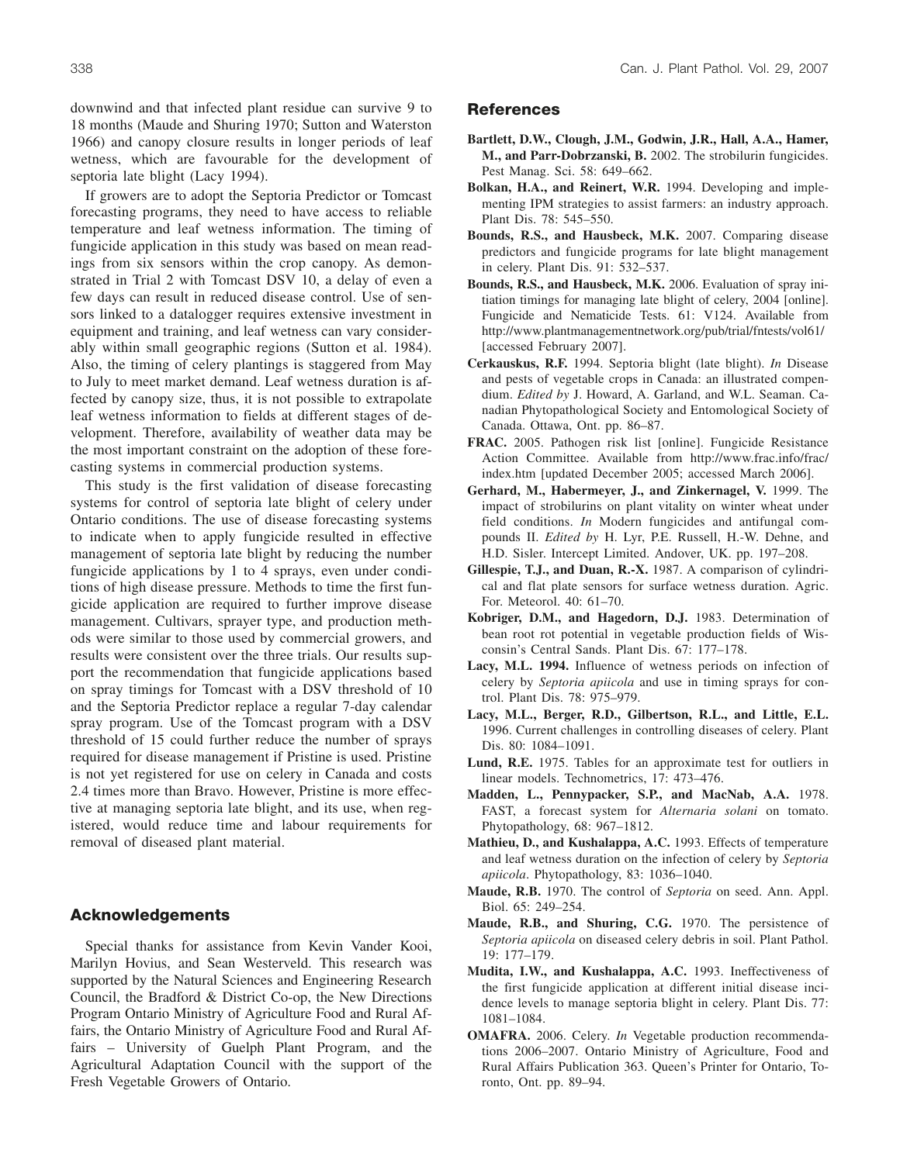downwind and that infected plant residue can survive 9 to 18 months (Maude and Shuring 1970; Sutton and Waterston 1966) and canopy closure results in longer periods of leaf wetness, which are favourable for the development of septoria late blight (Lacy 1994).

If growers are to adopt the Septoria Predictor or Tomcast forecasting programs, they need to have access to reliable temperature and leaf wetness information. The timing of fungicide application in this study was based on mean readings from six sensors within the crop canopy. As demonstrated in Trial 2 with Tomcast DSV 10, a delay of even a few days can result in reduced disease control. Use of sensors linked to a datalogger requires extensive investment in equipment and training, and leaf wetness can vary considerably within small geographic regions (Sutton et al. 1984). Also, the timing of celery plantings is staggered from May to July to meet market demand. Leaf wetness duration is affected by canopy size, thus, it is not possible to extrapolate leaf wetness information to fields at different stages of development. Therefore, availability of weather data may be the most important constraint on the adoption of these forecasting systems in commercial production systems.

This study is the first validation of disease forecasting systems for control of septoria late blight of celery under Ontario conditions. The use of disease forecasting systems to indicate when to apply fungicide resulted in effective management of septoria late blight by reducing the number fungicide applications by 1 to 4 sprays, even under conditions of high disease pressure. Methods to time the first fungicide application are required to further improve disease management. Cultivars, sprayer type, and production methods were similar to those used by commercial growers, and results were consistent over the three trials. Our results support the recommendation that fungicide applications based on spray timings for Tomcast with a DSV threshold of 10 and the Septoria Predictor replace a regular 7-day calendar spray program. Use of the Tomcast program with a DSV threshold of 15 could further reduce the number of sprays required for disease management if Pristine is used. Pristine is not yet registered for use on celery in Canada and costs 2.4 times more than Bravo. However, Pristine is more effective at managing septoria late blight, and its use, when registered, would reduce time and labour requirements for removal of diseased plant material.

## **Acknowledgements**

Special thanks for assistance from Kevin Vander Kooi, Marilyn Hovius, and Sean Westerveld. This research was supported by the Natural Sciences and Engineering Research Council, the Bradford & District Co-op, the New Directions Program Ontario Ministry of Agriculture Food and Rural Affairs, the Ontario Ministry of Agriculture Food and Rural Affairs – University of Guelph Plant Program, and the Agricultural Adaptation Council with the support of the Fresh Vegetable Growers of Ontario.

## **References**

- **Bartlett, D.W., Clough, J.M., Godwin, J.R., Hall, A.A., Hamer, M., and Parr-Dobrzanski, B.** 2002. The strobilurin fungicides. Pest Manag. Sci. 58: 649–662.
- **Bolkan, H.A., and Reinert, W.R.** 1994. Developing and implementing IPM strategies to assist farmers: an industry approach. Plant Dis. 78: 545–550.
- **Bounds, R.S., and Hausbeck, M.K.** 2007. Comparing disease predictors and fungicide programs for late blight management in celery. Plant Dis. 91: 532–537.
- **Bounds, R.S., and Hausbeck, M.K.** 2006. Evaluation of spray initiation timings for managing late blight of celery, 2004 [online]. Fungicide and Nematicide Tests. 61: V124. Available from http://www.plantmanagementnetwork.org/pub/trial/fntests/vol61/ [accessed February 2007].
- **Cerkauskus, R.F.** 1994. Septoria blight (late blight). *In* Disease and pests of vegetable crops in Canada: an illustrated compendium. *Edited by* J. Howard, A. Garland, and W.L. Seaman. Canadian Phytopathological Society and Entomological Society of Canada. Ottawa, Ont. pp. 86–87.
- **FRAC.** 2005. Pathogen risk list [online]. Fungicide Resistance Action Committee. Available from http://www.frac.info/frac/ index.htm [updated December 2005; accessed March 2006].
- **Gerhard, M., Habermeyer, J., and Zinkernagel, V.** 1999. The impact of strobilurins on plant vitality on winter wheat under field conditions. *In* Modern fungicides and antifungal compounds II. *Edited by* H. Lyr, P.E. Russell, H.-W. Dehne, and H.D. Sisler. Intercept Limited. Andover, UK. pp. 197–208.
- **Gillespie, T.J., and Duan, R.-X.** 1987. A comparison of cylindrical and flat plate sensors for surface wetness duration. Agric. For. Meteorol. 40: 61–70.
- **Kobriger, D.M., and Hagedorn, D.J.** 1983. Determination of bean root rot potential in vegetable production fields of Wisconsin's Central Sands. Plant Dis. 67: 177–178.
- **Lacy, M.L. 1994.** Influence of wetness periods on infection of celery by *Septoria apiicola* and use in timing sprays for control. Plant Dis. 78: 975–979.
- **Lacy, M.L., Berger, R.D., Gilbertson, R.L., and Little, E.L.** 1996. Current challenges in controlling diseases of celery. Plant Dis. 80: 1084–1091.
- **Lund, R.E.** 1975. Tables for an approximate test for outliers in linear models. Technometrics, 17: 473–476.
- **Madden, L., Pennypacker, S.P., and MacNab, A.A.** 1978. FAST, a forecast system for *Alternaria solani* on tomato. Phytopathology, 68: 967–1812.
- **Mathieu, D., and Kushalappa, A.C.** 1993. Effects of temperature and leaf wetness duration on the infection of celery by *Septoria apiicola*. Phytopathology, 83: 1036–1040.
- **Maude, R.B.** 1970. The control of *Septoria* on seed. Ann. Appl. Biol. 65: 249–254.
- **Maude, R.B., and Shuring, C.G.** 1970. The persistence of *Septoria apiicola* on diseased celery debris in soil. Plant Pathol. 19: 177–179.
- **Mudita, I.W., and Kushalappa, A.C.** 1993. Ineffectiveness of the first fungicide application at different initial disease incidence levels to manage septoria blight in celery. Plant Dis. 77: 1081–1084.
- **OMAFRA.** 2006. Celery. *In* Vegetable production recommendations 2006–2007. Ontario Ministry of Agriculture, Food and Rural Affairs Publication 363. Queen's Printer for Ontario, Toronto, Ont. pp. 89–94.